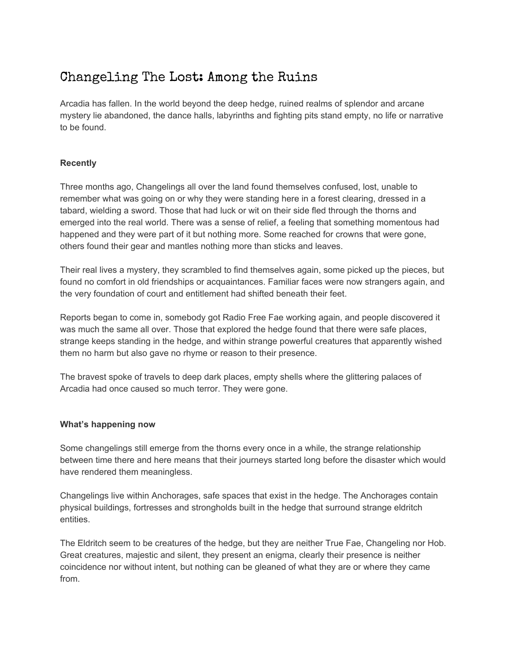# Changeling The Lost: Among the Ruins

Arcadia has fallen. In the world beyond the deep hedge, ruined realms of splendor and arcane mystery lie abandoned, the dance halls, labyrinths and fighting pits stand empty, no life or narrative to be found.

# **Recently**

Three months ago, Changelings all over the land found themselves confused, lost, unable to remember what was going on or why they were standing here in a forest clearing, dressed in a tabard, wielding a sword. Those that had luck or wit on their side fled through the thorns and emerged into the real world. There was a sense of relief, a feeling that something momentous had happened and they were part of it but nothing more. Some reached for crowns that were gone, others found their gear and mantles nothing more than sticks and leaves.

Their real lives a mystery, they scrambled to find themselves again, some picked up the pieces, but found no comfort in old friendships or acquaintances. Familiar faces were now strangers again, and the very foundation of court and entitlement had shifted beneath their feet.

Reports began to come in, somebody got Radio Free Fae working again, and people discovered it was much the same all over. Those that explored the hedge found that there were safe places, strange keeps standing in the hedge, and within strange powerful creatures that apparently wished them no harm but also gave no rhyme or reason to their presence.

The bravest spoke of travels to deep dark places, empty shells where the glittering palaces of Arcadia had once caused so much terror. They were gone.

## **What's happening now**

Some changelings still emerge from the thorns every once in a while, the strange relationship between time there and here means that their journeys started long before the disaster which would have rendered them meaningless.

Changelings live within Anchorages, safe spaces that exist in the hedge. The Anchorages contain physical buildings, fortresses and strongholds built in the hedge that surround strange eldritch entities.

The Eldritch seem to be creatures of the hedge, but they are neither True Fae, Changeling nor Hob. Great creatures, majestic and silent, they present an enigma, clearly their presence is neither coincidence nor without intent, but nothing can be gleaned of what they are or where they came from.